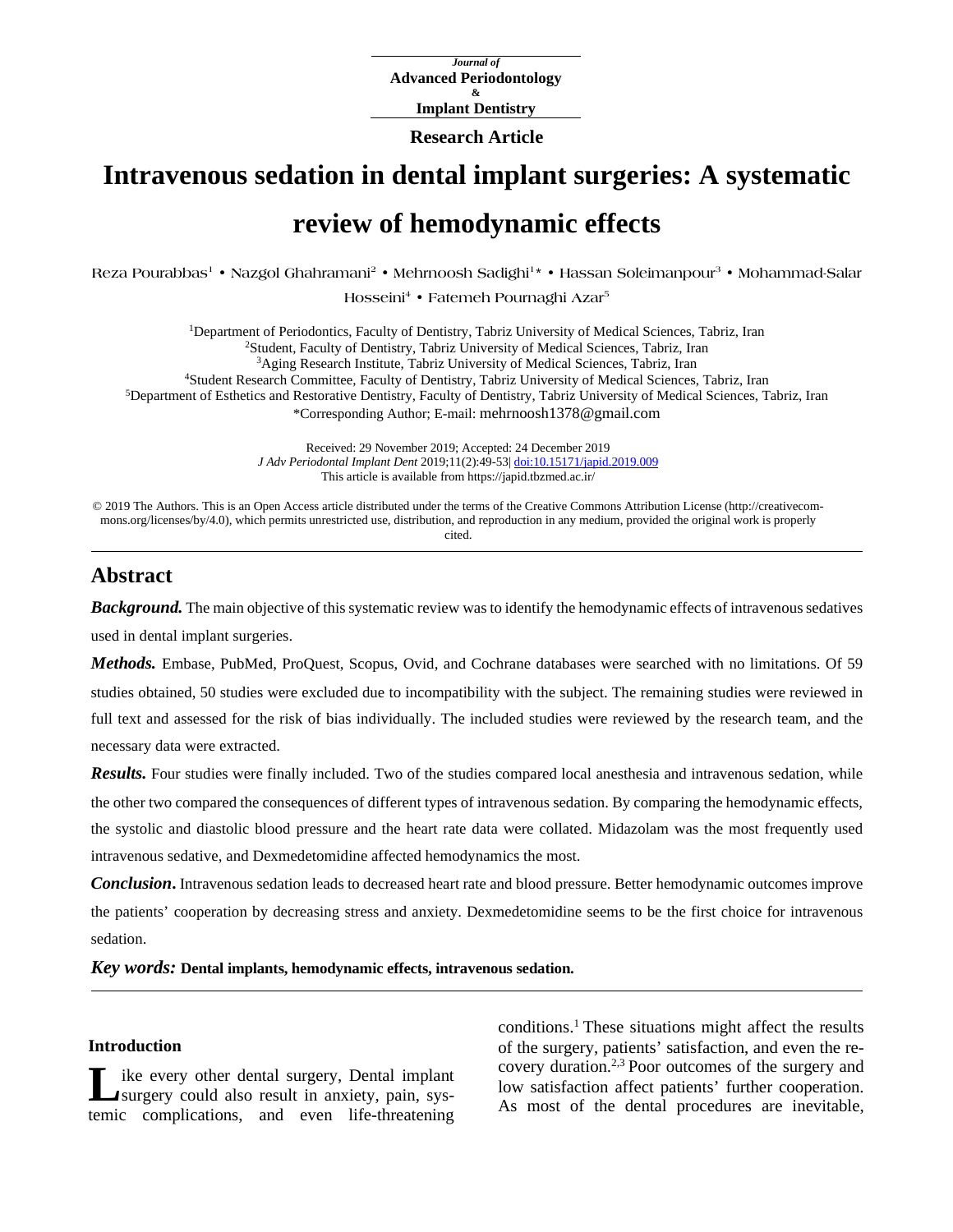*Journal of* **Advanced Periodontology & Implant Dentistry**

### **Research Article**

# **Intravenous sedation in dental implant surgeries: A systematic review of hemodynamic effects**

 $Reca$  **Pourabbas<sup>1</sup> • Nazgol Ghahramani<sup>2</sup> • Mehrnoosh Sadighi<sup>1</sup> • Hassan Soleimanpour<sup>3</sup> • Mohammad-Salar** 

**Hosseini4 • Fatemeh Pournaghi Azar5**

1Department of Periodontics, Faculty of Dentistry, Tabriz University of Medical Sciences, Tabriz, Iran 2Student, Faculty of Dentistry, Tabriz University of Medical Sciences, Tabriz, Iran 3Aging Research Institute, Tabriz University of Medical Sciences, Tabriz, Iran 4Student Research Committee, Faculty of Dentistry, Tabriz University of Medical Sciences, Tabriz, Iran 5Department of Esthetics and Restorative Dentistry, Faculty of Dentistry, Tabriz University of Medical Sciences, Tabriz, Iran \*Corresponding Author; E-mail: mehrnoosh1378@gmail.com

> Received: 29 November 2019; Accepted: 24 December 2019 *J Adv Periodontal Implant Dent* 2019;11(2):49-53| [doi:10.15171/japid.2019.009](http://dx.doi.org/10.15171/japid.2019.009) This article is available from https://japid.tbzmed.ac.ir/

© 2019 The Authors. This is an Open Access article distributed under the terms of the Creative Commons Attribution License (http://creativecommons.org/licenses/by/4.0), which permits unrestricted use, distribution, and reproduction in any medium, provided the original work is properly cited.

# **Abstract**

*Background*. The main objective of this systematic review was to identify the hemodynamic effects of intravenous sedatives used in dental implant surgeries.

*Methods.* Embase, PubMed, ProQuest, Scopus, Ovid, and Cochrane databases were searched with no limitations. Of 59 studies obtained, 50 studies were excluded due to incompatibility with the subject. The remaining studies were reviewed in full text and assessed for the risk of bias individually. The included studies were reviewed by the research team, and the necessary data were extracted.

*Results.* Four studies were finally included. Two of the studies compared local anesthesia and intravenous sedation, while the other two compared the consequences of different types of intravenous sedation. By comparing the hemodynamic effects, the systolic and diastolic blood pressure and the heart rate data were collated. Midazolam was the most frequently used intravenous sedative, and Dexmedetomidine affected hemodynamics the most.

*Conclusion***.** Intravenous sedation leads to decreased heart rate and blood pressure. Better hemodynamic outcomes improve the patients' cooperation by decreasing stress and anxiety. Dexmedetomidine seems to be the first choice for intravenous sedation.

*Key words:* **Dental implants, hemodynamic effects, intravenous sedation.**

## **Introduction**

ike every other dental surgery, Dental implant surgery could also result in anxiety, pain, sys-**L** ike every other dental surgery, Dental implant surgery could also result in anxiety, pain, systemic complications, and even life-threatening

conditions. <sup>1</sup> These situations might affect the results of the surgery, patients' satisfaction, and even the recovery duration. 2,3 Poor outcomes of the surgery and low satisfaction affect patients' further cooperation. As most of the dental procedures are inevitable,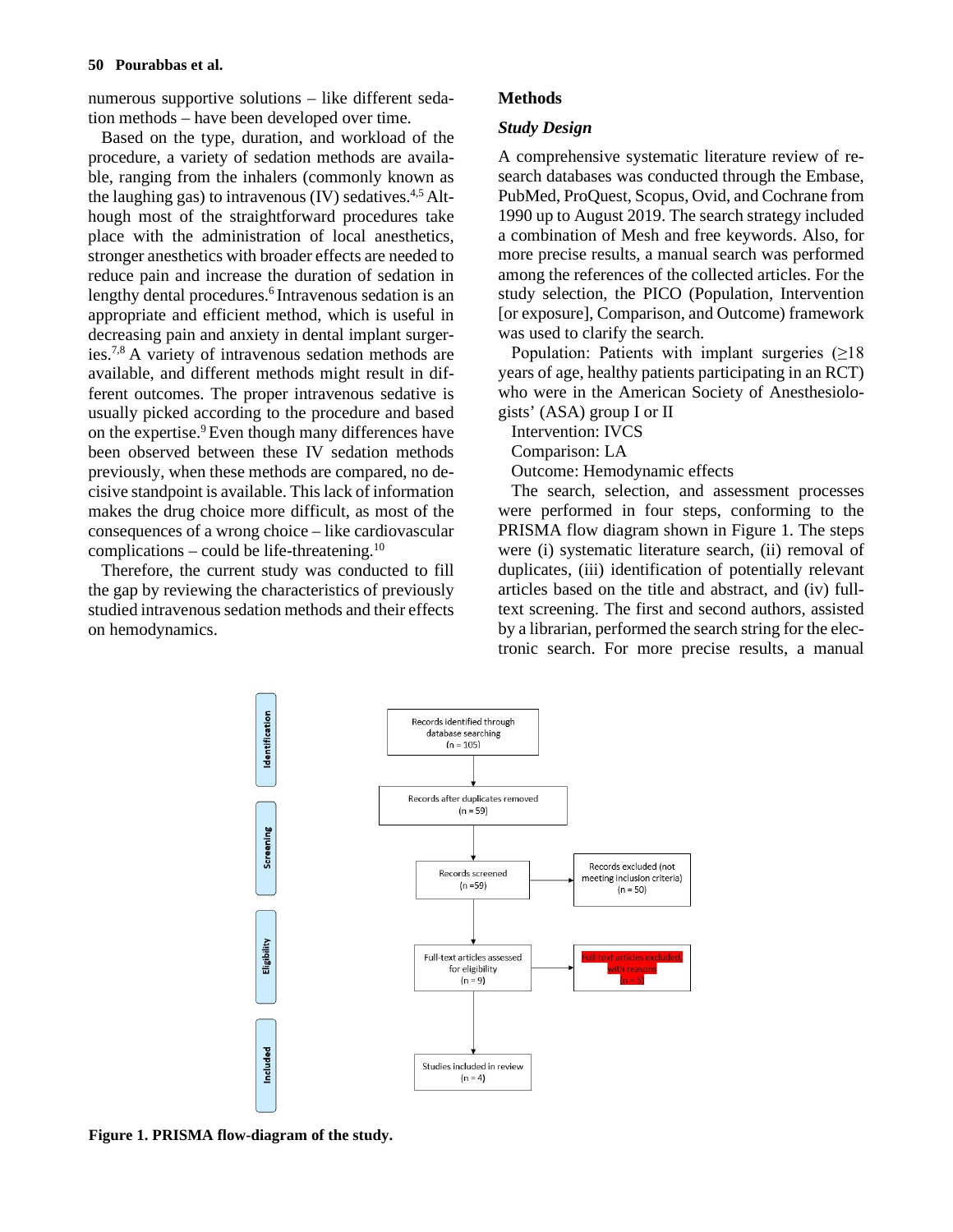numerous supportive solutions – like different sedation methods – have been developed over time.

Based on the type, duration, and workload of the procedure, a variety of sedation methods are available, ranging from the inhalers (commonly known as the laughing gas) to intravenous (IV) sedatives. 4,5 Although most of the straightforward procedures take place with the administration of local anesthetics, stronger anesthetics with broader effects are needed to reduce pain and increase the duration of sedation in lengthy dental procedures. <sup>6</sup> Intravenous sedation is an appropriate and efficient method, which is useful in decreasing pain and anxiety in dental implant surgeries. 7,8 A variety of intravenous sedation methods are available, and different methods might result in different outcomes. The proper intravenous sedative is usually picked according to the procedure and based on the expertise. 9Even though many differences have been observed between these IV sedation methods previously, when these methods are compared, no decisive standpoint is available. This lack of information makes the drug choice more difficult, as most of the consequences of a wrong choice – like cardiovascular complications  $-$  could be life-threatening.<sup>10</sup>

Therefore, the current study was conducted to fill the gap by reviewing the characteristics of previously studied intravenous sedation methods and their effects on hemodynamics.

# **Methods**

# *Study Design*

A comprehensive systematic literature review of research databases was conducted through the Embase, PubMed, ProQuest, Scopus, Ovid, and Cochrane from 1990 up to August 2019. The search strategy included a combination of Mesh and free keywords. Also, for more precise results, a manual search was performed among the references of the collected articles. For the study selection, the PICO (Population, Intervention [or exposure], Comparison, and Outcome) framework was used to clarify the search.

Population: Patients with implant surgeries  $(≥18)$ years of age, healthy patients participating in an RCT) who were in the American Society of Anesthesiologists' (ASA) group I or II

Intervention: IVCS

Comparison: LA

Outcome: Hemodynamic effects

The search, selection, and assessment processes were performed in four steps, conforming to the PRISMA flow diagram shown in Figure 1. The steps were (i) systematic literature search, (ii) removal of duplicates, (iii) identification of potentially relevant articles based on the title and abstract, and (iv) fulltext screening. The first and second authors, assisted by a librarian, performed the search string for the electronic search. For more precise results, a manual



**Figure 1. PRISMA flow-diagram of the study.**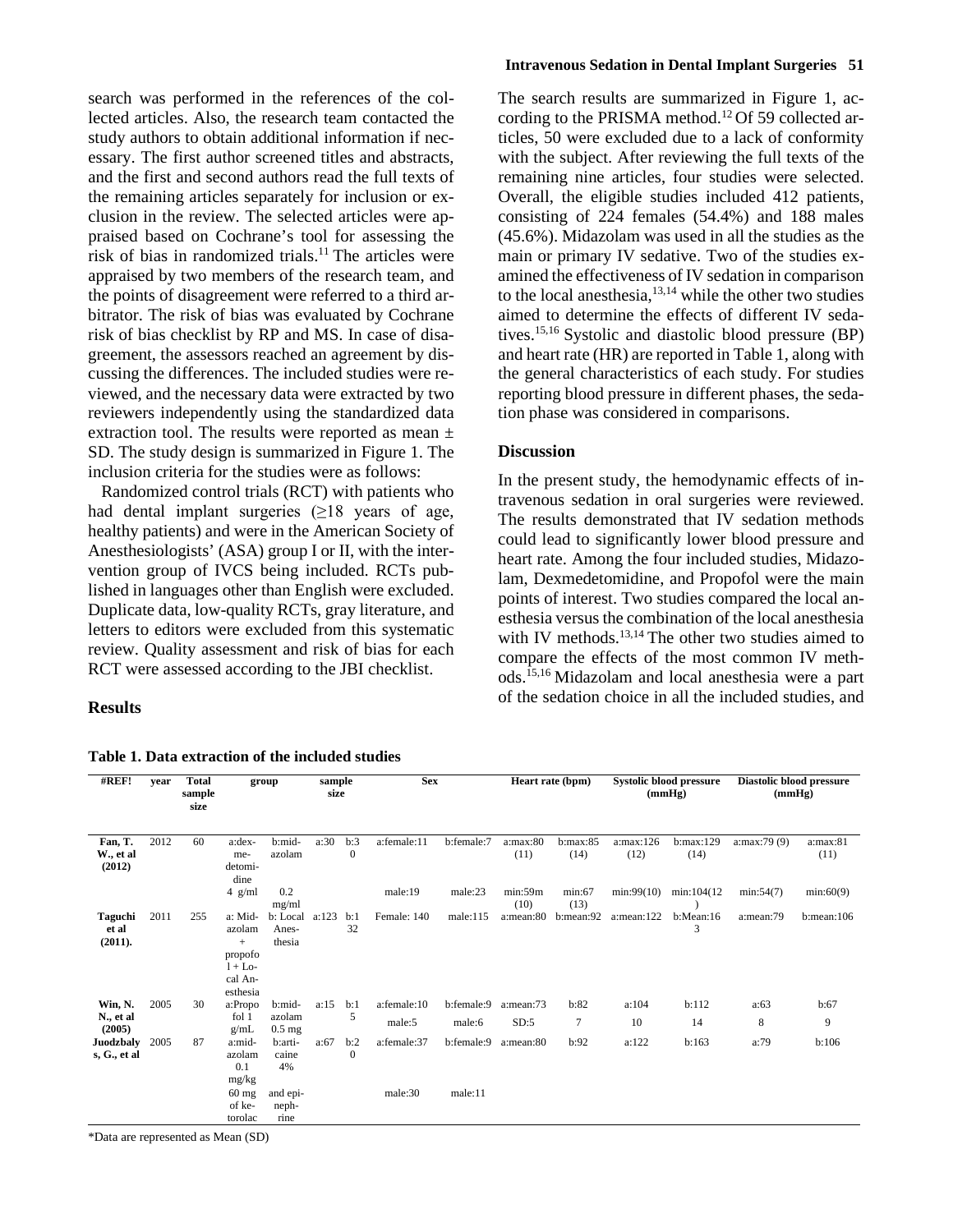search was performed in the references of the collected articles. Also, the research team contacted the study authors to obtain additional information if necessary. The first author screened titles and abstracts, and the first and second authors read the full texts of the remaining articles separately for inclusion or exclusion in the review. The selected articles were appraised based on Cochrane's tool for assessing the risk of bias in randomized trials. <sup>11</sup> The articles were appraised by two members of the research team, and the points of disagreement were referred to a third arbitrator. The risk of bias was evaluated by Cochrane risk of bias checklist by RP and MS. In case of disagreement, the assessors reached an agreement by discussing the differences. The included studies were reviewed, and the necessary data were extracted by two reviewers independently using the standardized data extraction tool. The results were reported as mean  $\pm$ SD. The study design is summarized in Figure 1. The inclusion criteria for the studies were as follows:

Randomized control trials (RCT) with patients who had dental implant surgeries  $(\geq 18)$  years of age, healthy patients) and were in the American Society of Anesthesiologists' (ASA) group I or II, with the intervention group of IVCS being included. RCTs published in languages other than English were excluded. Duplicate data, low-quality RCTs, gray literature, and letters to editors were excluded from this systematic review. Quality assessment and risk of bias for each RCT were assessed according to the JBI checklist.

# **Results**

#### **Table 1. Data extraction of the included studies**

#### **Intravenous Sedation in Dental Implant Surgeries 51**

The search results are summarized in Figure 1, according to the PRISMA method. <sup>12</sup> Of 59 collected articles, 50 were excluded due to a lack of conformity with the subject. After reviewing the full texts of the remaining nine articles, four studies were selected. Overall, the eligible studies included 412 patients, consisting of 224 females (54.4%) and 188 males (45.6%). Midazolam was used in all the studies as the main or primary IV sedative. Two of the studies examined the effectiveness of IV sedation in comparison to the local anesthesia, $13,14$  while the other two studies aimed to determine the effects of different IV sedatives. 15,16 Systolic and diastolic blood pressure (BP) and heart rate (HR) are reported in Table 1, along with the general characteristics of each study. For studies reporting blood pressure in different phases, the sedation phase was considered in comparisons.

### **Discussion**

In the present study, the hemodynamic effects of intravenous sedation in oral surgeries were reviewed. The results demonstrated that IV sedation methods could lead to significantly lower blood pressure and heart rate. Among the four included studies, Midazolam, Dexmedetomidine, and Propofol were the main points of interest. Two studies compared the local anesthesia versus the combination of the local anesthesia with IV methods.<sup>13,14</sup> The other two studies aimed to compare the effects of the most common IV methods. 15,16 Midazolam and local anesthesia were a part of the sedation choice in all the included studies, and

| #REF!                              | vear | <b>Total</b><br>sample<br>size | group                                                                  |                             | sample<br>size |                     | <b>Sex</b>  |            | Heart rate (bpm) |                  | <b>Systolic blood pressure</b><br>(mmHg) |                   | Diastolic blood pressure<br>(mmHg) |                  |
|------------------------------------|------|--------------------------------|------------------------------------------------------------------------|-----------------------------|----------------|---------------------|-------------|------------|------------------|------------------|------------------------------------------|-------------------|------------------------------------|------------------|
| Fan, T.<br>W., et al<br>(2012)     | 2012 | 60                             | a:dex-<br>me-<br>detomi-<br>dine                                       | b:mid-<br>azolam            | a:30           | b:3<br>$\mathbf{0}$ | a:female:11 | b:female:7 | a:max:80<br>(11) | b:max:85<br>(14) | a:max:126<br>(12)                        | b:max:129<br>(14) | a:max:79 (9)                       | a:max:81<br>(11) |
|                                    |      |                                | $4$ g/ml                                                               | 0.2<br>mg/ml                |                |                     | male:19     | male:23    | min:59m<br>(10)  | min:67<br>(13)   | min:99(10)                               | min:104(12)       | min:54(7)                          | min:60(9)        |
| <b>Taguchi</b><br>et al<br>(2011). | 2011 | 255                            | a: Mid-<br>azolam<br>$+$<br>propofo<br>$1+$ Lo-<br>cal An-<br>esthesia | b: Local<br>Anes-<br>thesia | a:123          | b:1<br>32           | Female: 140 | male:115   | a:mean:80        | b:mean:92        | a:mean:122                               | b:Mean:16<br>3    | a:mean:79                          | b:mean:106       |
| Win, N.                            | 2005 | 30                             | a:Propo                                                                | b:mid-                      | a:15           | b:1<br>5            | a:female:10 | b:female:9 | a:mean:73        | b:82             | a:104                                    | b:112             | a:63                               | b:67             |
| N., et al<br>(2005)                |      |                                | fol 1<br>g/mL                                                          | azolam<br>$0.5$ mg          |                |                     | male:5      | male:6     | SD:5             | $\tau$           | 10                                       | 14                | 8                                  | 9                |
| <b>Juodzbaly</b><br>s, G., et al.  | 2005 | 87                             | a:mid-<br>azolam<br>0.1<br>mg/kg                                       | b:arti-<br>caine<br>4%      | a:67           | b:2<br>$\mathbf{0}$ | a:female:37 | b:female:9 | a:mean:80        | b:92             | a:122                                    | b:163             | a:79                               | b:106            |
|                                    |      |                                | $60$ mg<br>of ke-<br>torolac                                           | and epi-<br>neph-<br>rine   |                |                     | male:30     | male:11    |                  |                  |                                          |                   |                                    |                  |

\*Data are represented as Mean (SD)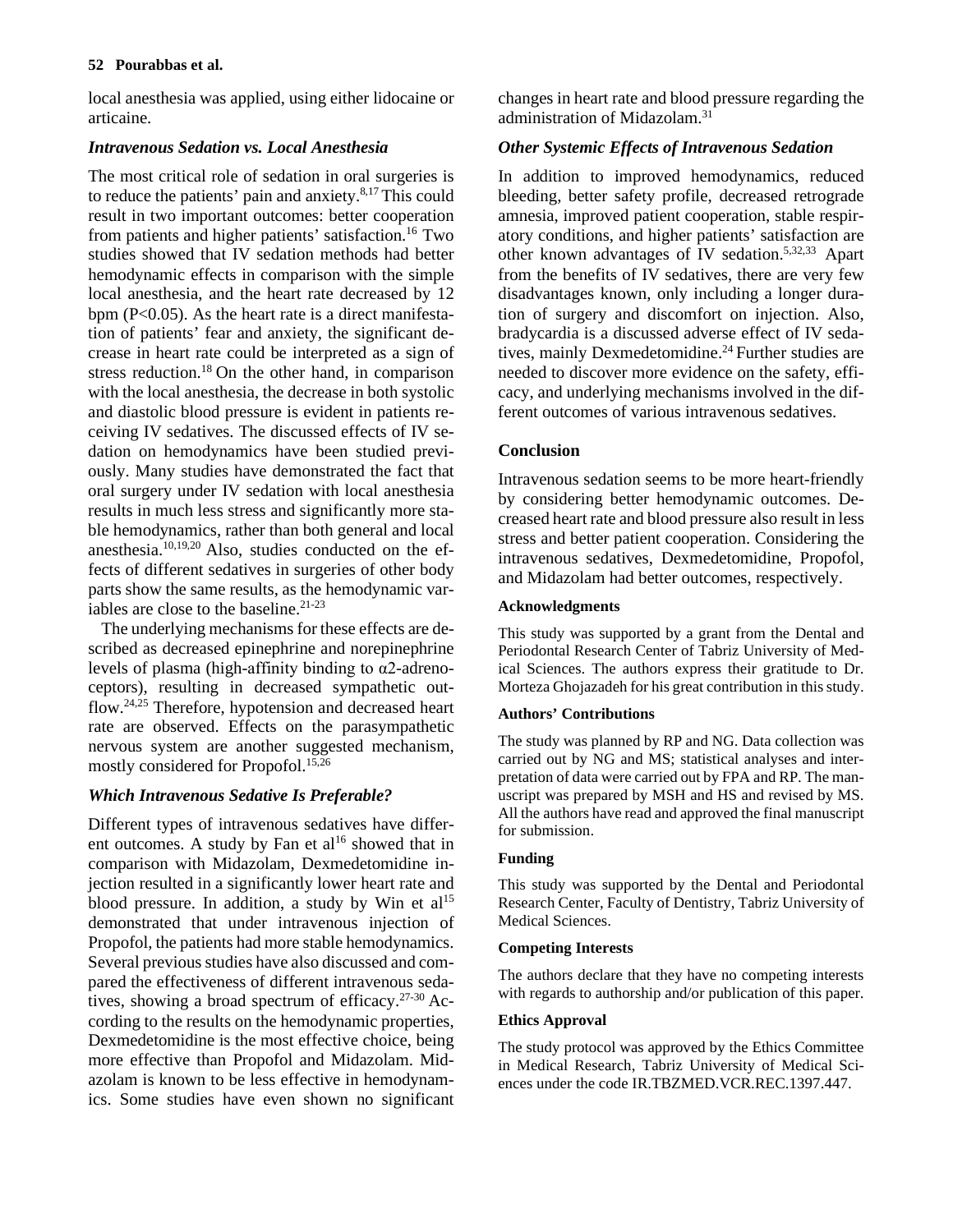# **52 Pourabbas et al.**

local anesthesia was applied, using either lidocaine or articaine.

# *Intravenous Sedation vs. Local Anesthesia*

The most critical role of sedation in oral surgeries is to reduce the patients' pain and anxiety. 8,17This could result in two important outcomes: better cooperation from patients and higher patients' satisfaction. <sup>16</sup> Two studies showed that IV sedation methods had better hemodynamic effects in comparison with the simple local anesthesia, and the heart rate decreased by 12 bpm  $(P<0.05)$ . As the heart rate is a direct manifestation of patients' fear and anxiety, the significant decrease in heart rate could be interpreted as a sign of stress reduction. <sup>18</sup> On the other hand, in comparison with the local anesthesia, the decrease in both systolic and diastolic blood pressure is evident in patients receiving IV sedatives. The discussed effects of IV sedation on hemodynamics have been studied previously. Many studies have demonstrated the fact that oral surgery under IV sedation with local anesthesia results in much less stress and significantly more stable hemodynamics, rather than both general and local anesthesia. 10,19,20 Also, studies conducted on the effects of different sedatives in surgeries of other body parts show the same results, as the hemodynamic variables are close to the baseline. 21-23

The underlying mechanisms for these effects are described as decreased epinephrine and norepinephrine levels of plasma (high-affinity binding to α2-adrenoceptors), resulting in decreased sympathetic outflow. 24,25 Therefore, hypotension and decreased heart rate are observed. Effects on the parasympathetic nervous system are another suggested mechanism, mostly considered for Propofol. 15,26

# *Which Intravenous Sedative Is Preferable?*

Different types of intravenous sedatives have different outcomes. A study by Fan et al<sup>16</sup> showed that in comparison with Midazolam, Dexmedetomidine injection resulted in a significantly lower heart rate and blood pressure. In addition, a study by Win et  $al<sup>15</sup>$ demonstrated that under intravenous injection of Propofol, the patients had more stable hemodynamics. Several previous studies have also discussed and compared the effectiveness of different intravenous sedatives, showing a broad spectrum of efficacy.<sup>27-30</sup> According to the results on the hemodynamic properties, Dexmedetomidine is the most effective choice, being more effective than Propofol and Midazolam. Midazolam is known to be less effective in hemodynamics. Some studies have even shown no significant changes in heart rate and blood pressure regarding the administration of Midazolam. 31

# *Other Systemic Effects of Intravenous Sedation*

In addition to improved hemodynamics, reduced bleeding, better safety profile, decreased retrograde amnesia, improved patient cooperation, stable respiratory conditions, and higher patients' satisfaction are other known advantages of IV sedation. 5,32,33 Apart from the benefits of IV sedatives, there are very few disadvantages known, only including a longer duration of surgery and discomfort on injection. Also, bradycardia is a discussed adverse effect of IV sedatives, mainly Dexmedetomidine. <sup>24</sup> Further studies are needed to discover more evidence on the safety, efficacy, and underlying mechanisms involved in the different outcomes of various intravenous sedatives.

# **Conclusion**

Intravenous sedation seems to be more heart-friendly by considering better hemodynamic outcomes. Decreased heart rate and blood pressure also result in less stress and better patient cooperation. Considering the intravenous sedatives, Dexmedetomidine, Propofol, and Midazolam had better outcomes, respectively.

# **Acknowledgments**

This study was supported by a grant from the Dental and Periodontal Research Center of Tabriz University of Medical Sciences. The authors express their gratitude to Dr. Morteza Ghojazadeh for his great contribution in this study.

# **Authors' Contributions**

The study was planned by RP and NG. Data collection was carried out by NG and MS; statistical analyses and interpretation of data were carried out by FPA and RP. The manuscript was prepared by MSH and HS and revised by MS. All the authors have read and approved the final manuscript for submission.

# **Funding**

This study was supported by the Dental and Periodontal Research Center, Faculty of Dentistry, Tabriz University of Medical Sciences.

# **Competing Interests**

The authors declare that they have no competing interests with regards to authorship and/or publication of this paper.

# **Ethics Approval**

The study protocol was approved by the Ethics Committee in Medical Research, Tabriz University of Medical Sciences under the code IR.TBZMED.VCR.REC.1397.447.